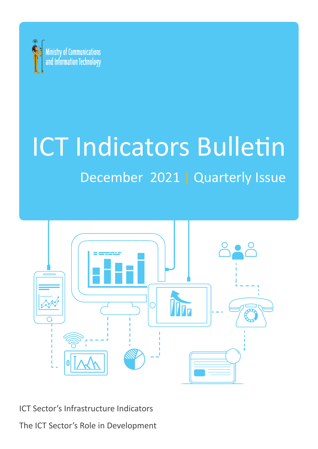

# **ICT Indicators Bulletin**

## December 2021 | Quarterly Issue



ICT Sector's Infrastructure Indicators

The ICT Sector's Role in Development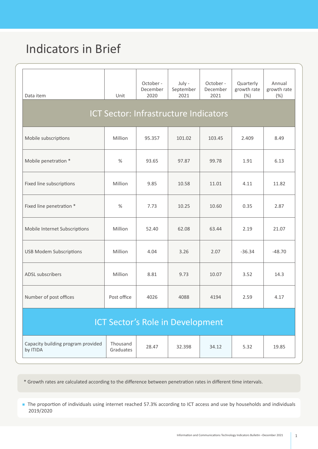## Indicators in Brief

| Data item                                      | Unit                  | October -<br>December<br>2020 | July -<br>September<br>2021<br><b>ICT Sector: Infrastructure Indicators</b> | October -<br>December<br>2021 | Quarterly<br>growth rate<br>(% ) | Annual<br>growth rate<br>(% ) |
|------------------------------------------------|-----------------------|-------------------------------|-----------------------------------------------------------------------------|-------------------------------|----------------------------------|-------------------------------|
| Mobile subscriptions                           | Million               | 95.357                        | 101.02                                                                      | 103.45                        | 2.409                            | 8.49                          |
| Mobile penetration *                           | %                     | 93.65                         | 97.87                                                                       | 99.78                         | 1.91                             | 6.13                          |
| Fixed line subscriptions                       | Million               | 9.85                          | 10.58                                                                       | 11.01                         | 4.11                             | 11.82                         |
| Fixed line penetration *                       | $\%$                  | 7.73                          | 10.25                                                                       | 10.60                         | 0.35                             | 2.87                          |
| Mobile Internet Subscriptions                  | Million               | 52.40                         | 62.08                                                                       | 63.44                         | 2.19                             | 21.07                         |
| <b>USB Modem Subscriptions</b>                 | Million               | 4.04                          | 3.26                                                                        | 2.07                          | $-36.34$                         | $-48.70$                      |
| ADSL subscribers                               | Million               | 8.81                          | 9.73                                                                        | 10.07                         | 3.52                             | 14.3                          |
| Number of post offices                         | Post office           | 4026                          | 4088                                                                        | 4194                          | 2.59                             | 4.17                          |
| <b>ICT Sector's Role in Development</b>        |                       |                               |                                                                             |                               |                                  |                               |
| Capacity building program provided<br>by ITIDA | Thousand<br>Graduates | 28.47                         | 32.398                                                                      | 34.12                         | 5.32                             | 19.85                         |

\* Growth rates are calculated according to the difference between penetration rates in different time intervals.

**n** The proportion of individuals using internet reached 57.3% according to ICT access and use by households and individuals 2019/2020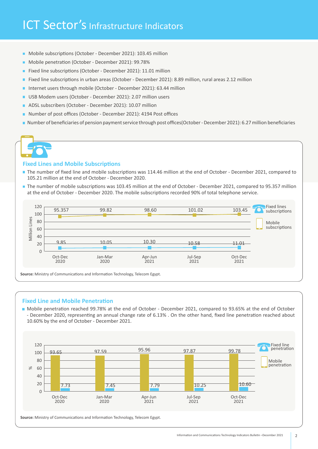## ICT Sector's Infrastructure Indicators

- Mobile subscriptions (October December 2021): 103.45 million
- Mobile penetration (October December 2021): 99.78%
- Fixed line subscriptions (October December 2021): 11.01 million
- Fixed line subscriptions in urban areas (October December 2021): 8.89 million, rural areas 2.12 million
- Internet users through mobile (October December 2021): 63.44 million
- USB Modem users (October December 2021): 2.07 million users
- ADSL subscribers (October December 2021): 10.07 million
- Number of post offices (October December 2021): 4194 Post offices
- In Number of beneficiaries of pension payment service through post offices (October December 2021): 6.27 million beneficiaries

#### **Fixed Lines and Mobile Subscriptions**

- The number of fixed line and mobile subscriptions was 114.46 million at the end of October December 2021, compared to 105.21 million at the end of October - December 2020.
- The number of mobile subscriptions was 103.45 million at the end of October December 2021, compared to 95.357 million at the end of October - December 2020. The mobile subscriptions recorded 90% of total telephone service.



Source: Ministry of Communications and Information Technology, Telecom Egypt.

#### **Fixed Line and Mobile Penetration**

October of October October - December 2021, compared to 93.65% at the end of October of October - December 2020, representing an annual change rate of 6.13% . On the other hand, fixed line penetration reached about 10.60% by the end of October - December 2021.



Source: Ministry of Communications and Information Technology, Telecom Egypt.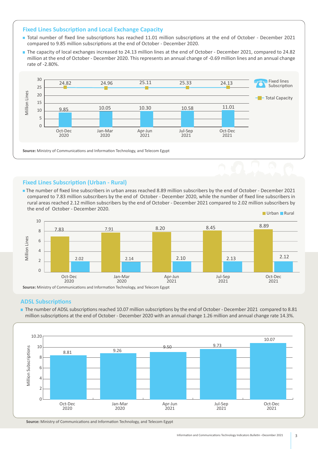#### **Fixed Lines Subscription and Local Exchange Capacity**

- Total number of fixed line subscriptions has reached 11.01 million subscriptions at the end of October December 2021 compared to 9.85 million subscriptions at the end of October - December 2020.
- The capacity of local exchanges increased to 24.13 million lines at the end of October December 2021, compared to 24.82 million at the end of October - December 2020. This represents an annual change of -0.69 million lines and an annual change rate of -2.80%.



#### **Fixed Lines Subscription (Urban - Rural)**

The number of fixed line subscribers in urban areas reached 8.89 million subscribers by the end of October - December 2021 compared to 7.83 million subscribers by the end of October - December 2020, while the number of fixed line subscribers in rural areas reached 2.12 million subscribers by the end of October - December 2021 compared to 2.02 million subscribers by the end of October - December 2020.



#### **ADSL Subscriptions**

The number of ADSL subscriptions reached 10.07 million subscriptions by the end of October - December 2021 compared to 8.81 million subscriptions at the end of October - December 2020 with an annual change 1.26 million and annual change rate 14.3%.



Source: Ministry of Communications and Information Technology, and Telecom Egypt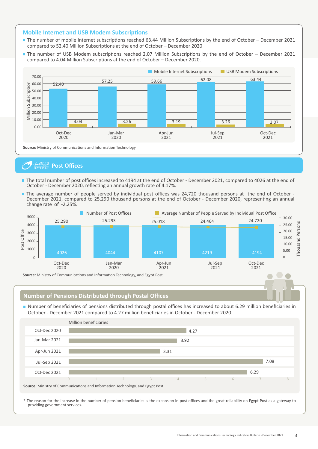#### **Mobile Internet and USB Modem Subscriptions**

- The number of mobile internet subscriptions reached 63.44 Million Subscriptions by the end of October December 2021 compared to 52.40 Million Subscriptions at the end of October – December 2020
- The number of USB Modem subscriptions reached 2.07 Million Subscriptions by the end of October December 2021 compared to 4.04 Million Subscriptions at the end of October – December 2020.



#### **Post Offices** البركنللغسي

- The total number of post offices increased to 4194 at the end of October December 2021, compared to 4026 at the end of October - December 2020, reflecting an annual growth rate of 4.17%.
- The average number of people served by individual post offices was 24,720 thousand persons at the end of October -December 2021, compared to 25,290 thousand persons at the end of October - December 2020, representing an annual change rate of -2.25%.



#### **Number of Pensions Distributed through Postal Offices**

In Number of beneficiaries of pensions distributed through postal offices has increased to about 6.29 million beneficiaries in October - December 2021 compared to 4.27 million beneficiaries in October - December 2020.



\* The reason for the increase in the number of pension beneficiaries is the expansion in post offices and the great reliability on Egypt Post as a gateway to providing government services.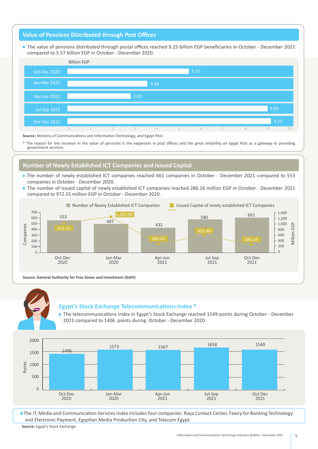#### **Value of Pensions Distributed through Post Offices**

The value of pensions distributed through postal offices reached 9.25 billion EGP beneficiaries in October - December 2021 compared to 5.57 billion EGP in October - December 2020.



Source: Ministry of Communications and Information Technology, and Egypt Post

\* The reason for the increase in the value of pensions is the expansion in post offices and the great reliability on Egypt Post as a gateway to providing government services.

#### **Number of Newly Established ICT Companies and Issued Capital**

- The number of newly established ICT companies reached 661 companies in October December 2021 compared to 553 companies in October - December 2020.
- The number of issued capital of newly established ICT companies reached 286.16 million EGP in October December 2021 compared to 972.55 million EGP in October - December 2020.



**Source: General Authority for Free Zones and Investment (GAFI)** 



#### **Egypt's Stock Exchange Telecommunications Index \***

The telecommunications index in Egypt's Stock Exchange reached 1549 points during October - December 2021 compared to 1406 points during October - December 2020.



Source: Egypt's Stock Exchange The IT, Media and Communication Services Index includes four companies: Raya Contact Center, Fawry for Banking Technology and Electronic Payment, Egyptian Media Production City, and Telecom Egypt.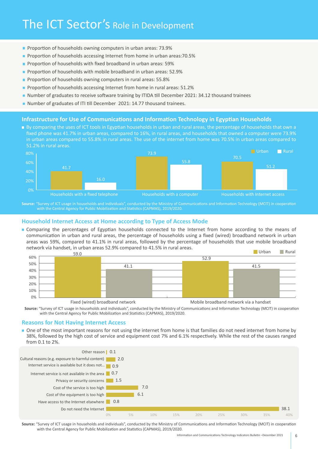- **Proportion of households owning computers in urban areas: 73.9%**
- **Proportion of households accessing Internet from home in urban areas: 70.5%**
- **Proportion of households with fixed broadband in urban areas: 59%**
- **Proportion of households with mobile broadband in urban areas: 52.9%**
- Proportion of households owning computers in rural areas: 55.8%
- **Proportion of households accessing Internet from home in rural areas: 51.2%**
- Number of graduates to receive software training by ITIDA till December 2021: 34.12 thousand trainees
- Number of graduates of ITI till December 2021: 14.77 thousand trainees.

#### **Infrastructure for Use of Communications and Information Technology in Egyptian Households**

**By comparing the uses of ICT tools in Egyptian households in urban and rural areas, the percentage of households that own a** fixed phone was 41.7% in urban areas, compared to 16%, in rural areas, and households that owned a computer were 73.9% in urban areas compared to 55.8% in rural areas. The use of the internet from home was 70.5% in urban areas compared to 51.2% in rural areas.



Source: "Survey of ICT usage in households and individuals", conducted by the Ministry of Communications and Information Technology (MCIT) in cooperation with the Central Agency for Public Mobilization and Statistics (CAPMAS), 2019/2020.

#### **Household Internet Access at Home according to Type of Access Mode**

**Our means the to according** of Egyptian households connected to the Internet from home according to the means of communication in urban and rural areas, the percentage of households using a fixed (wired) broadband network in urban areas was 59%, compared to 41.1% in rural areas, followed by the percentage of households that use mobile broadband network via handset, in urban areas 52.9% compared to 41.5% in rural areas.



Source: "Survey of ICT usage in households and individuals", conducted by the Ministry of Communications and Information Technology (MCIT) in cooperation with the Central Agency for Public Mobilization and Statistics (CAPMAS), 2019/2020.

#### **Reasons for Not Having Internet Access**

De of the most important reasons for not using the internet from home is that families do not need internet from home by 38%, followed by the high cost of service and equipment cost 7% and 6.1% respectively. While the rest of the causes ranged from 0.1 to 2%.



Source: "Survey of ICT usage in households and individuals", conducted by the Ministry of Communications and Information Technology (MCIT) in cooperation with the Central Agency for Public Mobilization and Statistics (CAPMAS), 2019/2020.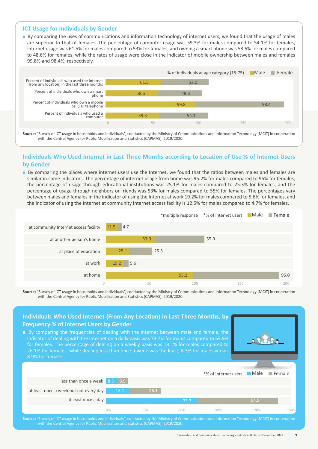#### **ICT Usage for Individuals by Gender**

**n** By comparing the uses of communications and information technology of internet users, we found that the usage of males are superior to that of females. The percentage of computer usage was 59.3% for males compared to 54.1% for females, internet usage was 61.5% for males compared to 53% for females, and owning a smart phone was 58.6% for males compared to 48.6% for females, while the rates of usage were close in the indicator of mobile ownership between males and females 99.8% and 98.4%, respectively.



Source: "Survey of ICT usage in households and individuals", conducted by the Ministry of Communications and Information Technology (MCIT) in cooperation with the Central Agency for Public Mobilization and Statistics (CAPMAS), 2019/2020.

#### **Individuals Who Used Internet in Last Three Months according to Location of Use % of Internet Users by** Gender

By comparing the places where internet users use the Internet, we found that the ratios between males and females are similar in some indicators. The percentage of internet usage from home was 95.2% for males compared to 95% for females, the percentage of usage through educational institutions was 25.1% for males compared to 25.3% for females, and the percentage of usage through neighbors or friends was 53% for males compared to 55% for females. The percentages vary between males and females in the indicator of using the Internet at work 19.2% for males compared to 5.6% for females, and the indicator of using the Internet at community Internet access facility is 12.5% for males compared to 4.7% for females.

|                                       |              |      |      | *multiple response *% of internet users Male Female |      |
|---------------------------------------|--------------|------|------|-----------------------------------------------------|------|
| at community Internet access facility | 4.7<br>12.5  |      |      |                                                     |      |
| at another person's home              |              | 53.0 |      | 55.0                                                |      |
| at place of education                 | 25.1         | 25.3 |      |                                                     |      |
| at work                               | 19.2<br>5.6  |      |      |                                                     |      |
| at home                               |              |      | 95.2 |                                                     | 95.0 |
|                                       | $\mathbf{0}$ | 50   | 100  | 150                                                 | 200  |

Source: "Survey of ICT usage in households and individuals", conducted by the Ministry of Communications and Information Technology (MCIT) in cooperation with the Central Agency for Public Mobilization and Statistics (CAPMAS), 2019/2020.

#### less than once a week at least once a week but not every day at least once a day 150% 90% 60% 30% 0% 26.1 18.1 **73.7** 64.9 8.9 8.3 \*% of internet users Male 120%  $\blacksquare$  Female **Individuals Who Used Internet (From Any Location) in Last Three Months, by Frequency % of Internet Users by Gender**  $\blacksquare$  By comparing the frequencies of dealing with the Internet between male and female, the indicator of dealing with the Internet on a daily basis was 73.7% for males compared to 64.9% for females. The percentage of dealing on a weekly basis was 18.1% for males compared to 26.1% for females, while dealing less than once a week was the least, 8.3% for males versus 8.9% for females.

Source: "Survey of ICT usage in households and individuals", conducted by the Ministry of Communications and Information Technology (MCIT) in cooperation with the Central Agency for Public Mobilization and Statistics (CAPMAS), 2019/2020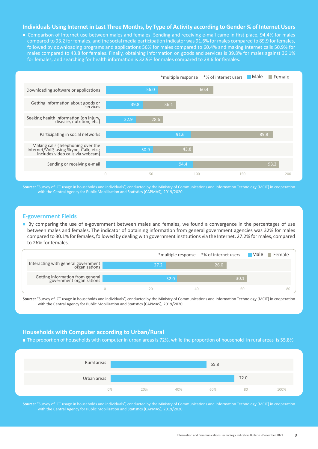#### **Individuals Using Internet in Last Three Months, by Type of Activity according to Gender % of Internet Users**

■ Comparison of Internet use between males and females. Sending and receiving e-mail came in first place, 94.4% for males compared to 93.2 for females, and the social media participation indicator was 91.6% for males compared to 89.9 for females, followed by downloading programs and applications 56% for males compared to 60.4% and making Internet calls 50.9% for males compared to 43.8 for females. Finally, obtaining information on goods and services is 39.8% for males against 36.1% for females, and searching for health information is 32.9% for males compared to 28.6 for females.



Source: "Survey of ICT usage in households and individuals", conducted by the Ministry of Communications and Information Technology (MCIT) in cooperation with the Central Agency for Public Mobilization and Statistics (CAPMAS), 2019/2020.

#### **E-government Fields**

By comparing the use of e-government between males and females, we found a convergence in the percentages of use between males and females. The indicator of obtaining information from general government agencies was 32% for males compared to 30.1% for females, followed by dealing with government institutions via the Internet, 27.2% for males, compared to 26% for females.

|                                                              |      | *multiple response *% of internet users | Male Female |
|--------------------------------------------------------------|------|-----------------------------------------|-------------|
| Interacting with general government                          | 27.2 | 26.0                                    |             |
| Getting information from general<br>government organizations | 32.0 | 30.1                                    |             |
|                                                              |      | 60                                      | 80          |

Source: "Survey of ICT usage in households and individuals", conducted by the Ministry of Communications and Information Technology (MCIT) in cooperation with the Central Agency for Public Mobilization and Statistics (CAPMAS), 2019/2020.

#### **Households with Computer according to Urban/Rural**

The proportion of households with computer in urban areas is 72%, while the proportion of household in rural areas is 55.8%



Source: "Survey of ICT usage in households and individuals", conducted by the Ministry of Communications and Information Technology (MCIT) in cooperation with the Central Agency for Public Mobilization and Statistics (CAPMAS), 2019/2020.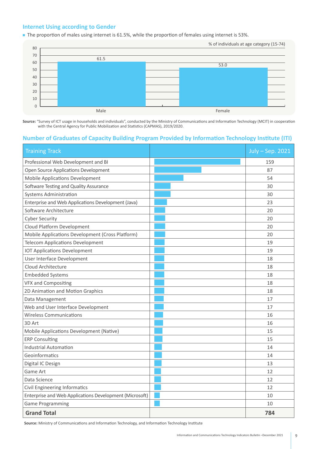#### **Internet Using according to Gender**

The proportion of males using internet is 61.5%, while the proportion of females using internet is 53%.



Source: "Survey of ICT usage in households and individuals", conducted by the Ministry of Communications and Information Technology (MCIT) in cooperation with the Central Agency for Public Mobilization and Statistics (CAPMAS), 2019/2020.

### **Number of Graduates of Capacity Building Program Provided by Information Technology Institute (ITI)**

| <b>Training Track</b>                                   | July - Sep. 2021 |
|---------------------------------------------------------|------------------|
| Professional Web Development and BI                     | 159              |
| Open Source Applications Development                    | 87               |
| <b>Mobile Applications Development</b>                  | 54               |
| Software Testing and Quality Assurance                  | 30               |
| <b>Systems Administration</b>                           | 30               |
| Enterprise and Web Applications Development (Java)      | 23               |
| Software Architecture                                   | 20               |
| <b>Cyber Security</b>                                   | 20               |
| Cloud Platform Development                              | 20               |
| Mobile Applications Development (Cross Platform)        | 20               |
| <b>Telecom Applications Development</b>                 | 19               |
| <b>IOT Applications Development</b>                     | 19               |
| User Interface Development                              | 18               |
| Cloud Architecture                                      | 18               |
| <b>Embedded Systems</b>                                 | 18               |
| <b>VFX and Compositing</b>                              | 18               |
| 2D Animation and Motion Graphics                        | 18               |
| Data Management                                         | 17               |
| Web and User Interface Development                      | 17               |
| <b>Wireless Communications</b>                          | 16               |
| 3D Art                                                  | 16               |
| Mobile Applications Development (Native)                | 15               |
| <b>ERP Consulting</b>                                   | 15               |
| <b>Industrial Automation</b>                            | 14               |
| Geoinformatics                                          | 14               |
| Digital IC Design                                       | 13               |
| Game Art                                                | 12               |
| Data Science                                            | 12               |
| Civil Engineering Informatics                           | 12               |
| Enterprise and Web Applications Development (Microsoft) | 10               |
| <b>Game Programming</b>                                 | 10               |
| <b>Grand Total</b>                                      | 784              |

Source: Ministry of Communications and Information Technology, and Information Technology Institute